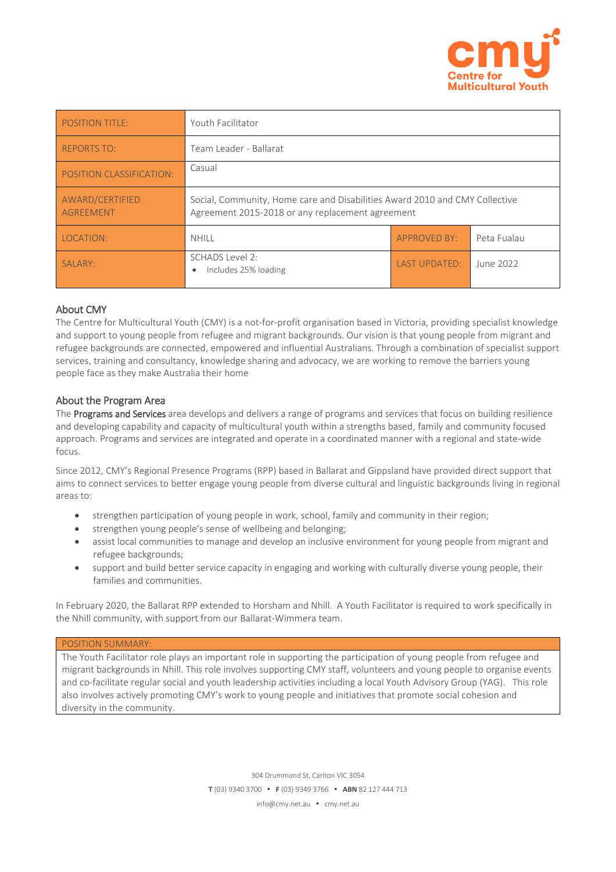

| <b>POSITION TITLE:</b>              | Youth Facilitator                                                                                                               |                      |             |
|-------------------------------------|---------------------------------------------------------------------------------------------------------------------------------|----------------------|-------------|
| <b>REPORTS TO:</b>                  | Team Leader - Ballarat                                                                                                          |                      |             |
| POSITION CLASSIFICATION:            | Casual                                                                                                                          |                      |             |
| AWARD/CERTIFIED<br><b>AGREEMENT</b> | Social, Community, Home care and Disabilities Award 2010 and CMY Collective<br>Agreement 2015-2018 or any replacement agreement |                      |             |
| LOCATION:                           | <b>NHILL</b>                                                                                                                    | <b>APPROVED BY:</b>  | Peta Fualau |
| SALARY:                             | SCHADS Level 2:<br>Includes 25% loading<br>$\bullet$                                                                            | <b>LAST UPDATED:</b> | June 2022   |

# About CMY

The Centre for Multicultural Youth (CMY) is a not-for-profit organisation based in Victoria, providing specialist knowledge and support to young people from refugee and migrant backgrounds. Our vision is that young people from migrant and refugee backgrounds are connected, empowered and influential Australians. Through a combination of specialist support services, training and consultancy, knowledge sharing and advocacy, we are working to remove the barriers young people face as they make Australia their home

# About the Program Area

The Programs and Services area develops and delivers a range of programs and services that focus on building resilience and developing capability and capacity of multicultural youth within a strengths based, family and community focused approach. Programs and services are integrated and operate in a coordinated manner with a regional and state-wide focus.

Since 2012, CMY's Regional Presence Programs (RPP) based in Ballarat and Gippsland have provided direct support that aims to connect services to better engage young people from diverse cultural and linguistic backgrounds living in regional areas to:

- strengthen participation of young people in work, school, family and community in their region;
- strengthen young people's sense of wellbeing and belonging;
- assist local communities to manage and develop an inclusive environment for young people from migrant and refugee backgrounds;
- support and build better service capacity in engaging and working with culturally diverse young people, their families and communities.

In February 2020, the Ballarat RPP extended to Horsham and Nhill. A Youth Facilitator is required to work specifically in the Nhill community, with support from our Ballarat-Wimmera team.

## POSITION SUMMARY:

The Youth Facilitator role plays an important role in supporting the participation of young people from refugee and migrant backgrounds in Nhill. This role involves supporting CMY staff, volunteers and young people to organise events and co-facilitate regular social and youth leadership activities including a local Youth Advisory Group (YAG). This role also involves actively promoting CMY's work to young people and initiatives that promote social cohesion and diversity in the community.

> 304 Drummond St, Carlton VIC 3054 **T** (03) 9340 3700 **F** (03) 9349 3766 **ABN** 82 127 444 713

info@cmy.net.au • cmy.net.au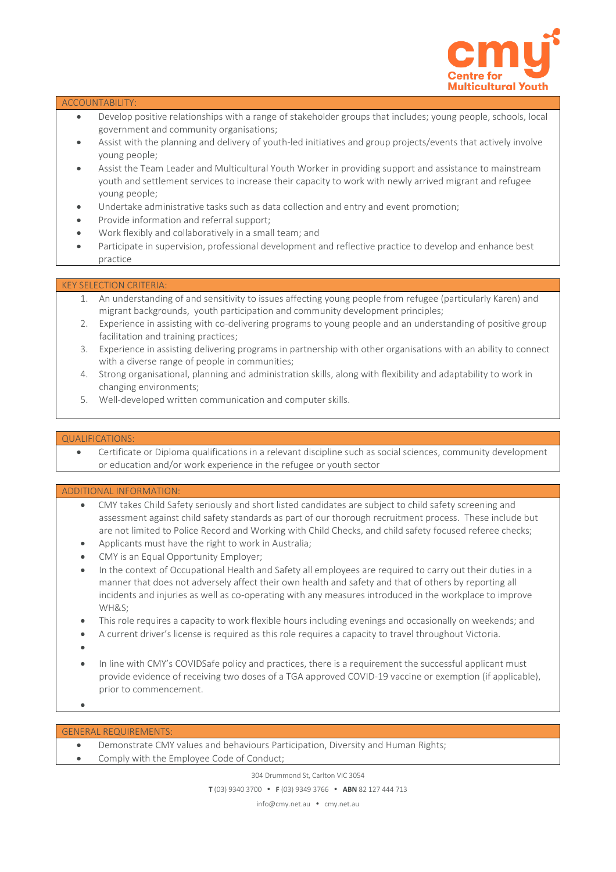

### ACCOUNTABILITY:

- Develop positive relationships with a range of stakeholder groups that includes; young people, schools, local government and community organisations;
- Assist with the planning and delivery of youth-led initiatives and group projects/events that actively involve young people;
- Assist the Team Leader and Multicultural Youth Worker in providing support and assistance to mainstream youth and settlement services to increase their capacity to work with newly arrived migrant and refugee young people;
- Undertake administrative tasks such as data collection and entry and event promotion;
- Provide information and referral support;
- Work flexibly and collaboratively in a small team; and
- Participate in supervision, professional development and reflective practice to develop and enhance best practice

## KEY SELECTION CRITERIA:

- 1. An understanding of and sensitivity to issues affecting young people from refugee (particularly Karen) and migrant backgrounds, youth participation and community development principles;
- 2. Experience in assisting with co-delivering programs to young people and an understanding of positive group facilitation and training practices;
- 3. Experience in assisting delivering programs in partnership with other organisations with an ability to connect with a diverse range of people in communities;
- 4. Strong organisational, planning and administration skills, along with flexibility and adaptability to work in changing environments;
- 5. Well-developed written communication and computer skills.

### QUALIFICATIONS:

 Certificate or Diploma qualifications in a relevant discipline such as social sciences, community development or education and/or work experience in the refugee or youth sector

#### ADDITIONAL INFORMATION:

- CMY takes Child Safety seriously and short listed candidates are subject to child safety screening and assessment against child safety standards as part of our thorough recruitment process. These include but are not limited to Police Record and Working with Child Checks, and child safety focused referee checks;
- Applicants must have the right to work in Australia;
- CMY is an Equal Opportunity Employer;
- In the context of Occupational Health and Safety all employees are required to carry out their duties in a manner that does not adversely affect their own health and safety and that of others by reporting all incidents and injuries as well as co-operating with any measures introduced in the workplace to improve WH&S;
- This role requires a capacity to work flexible hours including evenings and occasionally on weekends; and
- A current driver's license is required as this role requires a capacity to travel throughout Victoria.
- $\bullet$
- In line with CMY's COVIDSafe policy and practices, there is a requirement the successful applicant must provide evidence of receiving two doses of a TGA approved COVID-19 vaccine or exemption (if applicable), prior to commencement.
- $\bullet$

#### GENERAL REQUIREMENTS:

- Demonstrate CMY values and behaviours Participation, Diversity and Human Rights;
- Comply with the Employee Code of Conduct;

304 Drummond St, Carlton VIC 3054